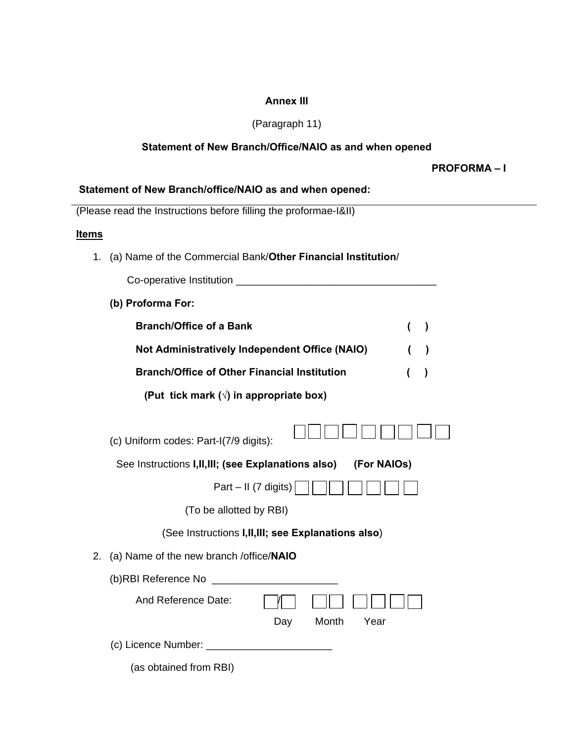# **Annex III**

# (Paragraph 11)

# **Statement of New Branch/Office/NAIO as and when opened**

**PROFORMA – I** 

## **Statement of New Branch/office/NAIO as and when opened:**

(Please read the Instructions before filling the proformae-I&II)

# **Items**

1. (a) Name of the Commercial Bank/**Other Financial Institution**/

| Co-operative Institution |  |
|--------------------------|--|
|--------------------------|--|

**(b) Proforma For:** 

| <b>Branch/Office of a Bank</b>                      | $\left( \quad \right)$ |  |
|-----------------------------------------------------|------------------------|--|
| Not Administratively Independent Office (NAIO)      | (                      |  |
| <b>Branch/Office of Other Financial Institution</b> |                        |  |

 **(Put tick mark (√) in appropriate box)** 

| (c) Uniform codes: Part-I(7/9 digits):                              |
|---------------------------------------------------------------------|
| See Instructions I, II, III; (see Explanations also)<br>(For NAIOs) |
| Part – II (7 digits)                                                |
| (To be allotted by RBI)                                             |
| (See Instructions I, II, III; see Explanations also)                |
| 2. (a) Name of the new branch /office/NAIO                          |
| (b)RBI Reference No ____                                            |
| And Reference Date:                                                 |
| Month<br>Year<br>Day                                                |
|                                                                     |

| (b)RBI Reference No   |     |            |  |
|-----------------------|-----|------------|--|
| And Reference Date:   |     |            |  |
|                       | Day | Month Year |  |
| (c) Licence Number: _ |     |            |  |

(as obtained from RBI)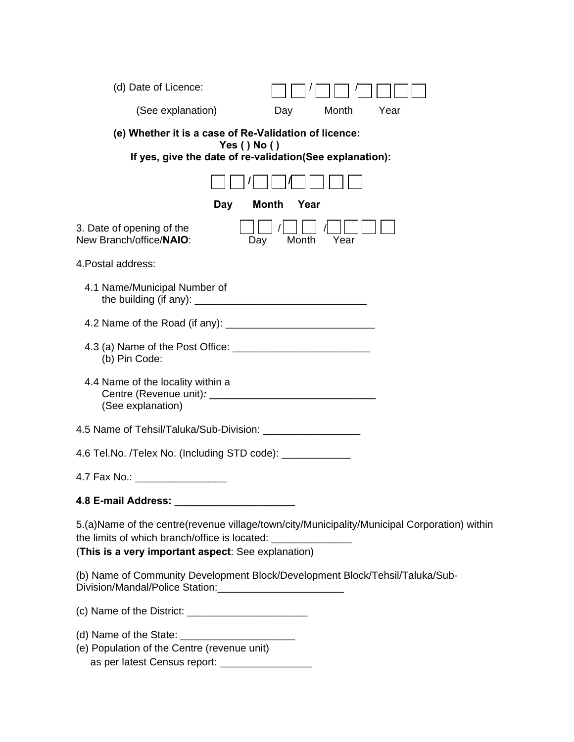| (d) Date of Licence:                                                                                                                                                                                                  |
|-----------------------------------------------------------------------------------------------------------------------------------------------------------------------------------------------------------------------|
| (See explanation)<br>Month<br>Year<br>Day                                                                                                                                                                             |
| (e) Whether it is a case of Re-Validation of licence:<br>Yes ( ) No ( )<br>If yes, give the date of re-validation(See explanation):                                                                                   |
|                                                                                                                                                                                                                       |
| <b>Month</b><br>Year<br>Day                                                                                                                                                                                           |
| 3. Date of opening of the<br>New Branch/office/NAIO:<br>Month<br>Year<br>Day                                                                                                                                          |
| 4. Postal address:                                                                                                                                                                                                    |
| 4.1 Name/Municipal Number of                                                                                                                                                                                          |
|                                                                                                                                                                                                                       |
| (b) Pin Code:                                                                                                                                                                                                         |
| 4.4 Name of the locality within a<br>(See explanation)                                                                                                                                                                |
| 4.5 Name of Tehsil/Taluka/Sub-Division: _____________________                                                                                                                                                         |
| 4.6 Tel.No. /Telex No. (Including STD code): ____________                                                                                                                                                             |
| 4.7 Fax No.: _______________                                                                                                                                                                                          |
|                                                                                                                                                                                                                       |
| 5.(a)Name of the centre(revenue village/town/city/Municipality/Municipal Corporation) within<br>the limits of which branch/office is located: _________________<br>(This is a very important aspect: See explanation) |
| (b) Name of Community Development Block/Development Block/Tehsil/Taluka/Sub-                                                                                                                                          |
|                                                                                                                                                                                                                       |
| (e) Population of the Centre (revenue unit)<br>as per latest Census report: ____________________                                                                                                                      |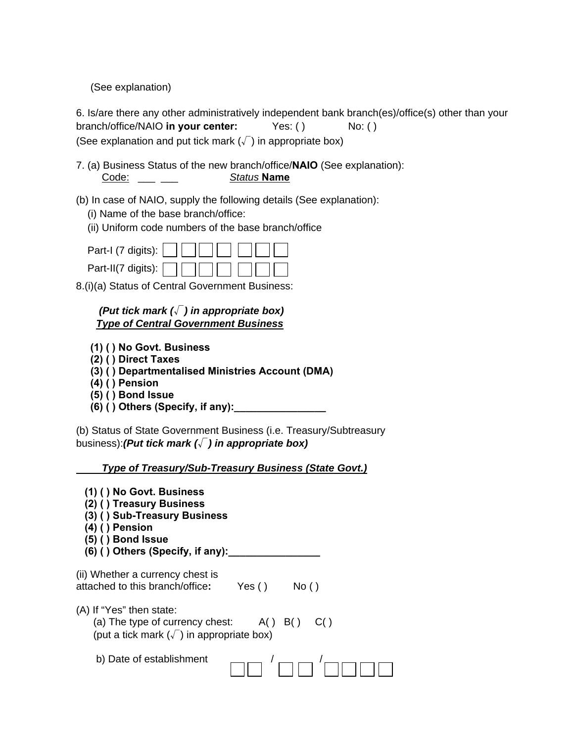(See explanation)

6. Is/are there any other administratively independent bank branch(es)/office(s) other than your branch/office/NAIO in your center: Yes: () No: () (See explanation and put tick mark  $(\sqrt{\ })$  in appropriate box)

7. (a) Business Status of the new branch/office/**NAIO** (See explanation): Code: \_\_\_ \_\_\_ *Status* **Name**

- (b) In case of NAIO, supply the following details (See explanation):
	- (i) Name of the base branch/office:
	- (ii) Uniform code numbers of the base branch/office

| Part-I (7 digits): $\Box \Box \Box \Box \Box \Box \Box$             |  |
|---------------------------------------------------------------------|--|
| Part-II(7 digits): $\Box$ $\Box$ $\Box$ $\Box$ $\Box$ $\Box$ $\Box$ |  |

8.(i)(a) Status of Central Government Business:

# *(Put tick mark (*√*) in appropriate box) Type of Central Government Business*

- **(1) ( ) No Govt. Business**
- **(2) ( ) Direct Taxes**
- **(3) ( ) Departmentalised Ministries Account (DMA)**
- **(4) ( ) Pension**
- **(5) ( ) Bond Issue**
- **(6) ( ) Others (Specify, if any):\_\_\_\_\_\_\_\_\_\_\_\_\_\_\_\_**

(b) Status of State Government Business (i.e. Treasury/Subtreasury business):*(Put tick mark (*√*) in appropriate box)* 

 *Type of Treasury/Sub-Treasury Business (State Govt.)*

| $(1)$ () No Govt. Business<br>(2) () Treasury Business<br>(3) () Sub-Treasury Business<br>(4) () Pension<br>$(5)$ () Bond Issue<br>$(6)$ () Others (Specify, if any): |  |
|-----------------------------------------------------------------------------------------------------------------------------------------------------------------------|--|
| (ii) Whether a currency chest is<br>attached to this branch/office:<br>Yes ( )<br>No()                                                                                |  |
| (A) If "Yes" then state:<br>(a) The type of currency chest: $A() B() C()$<br>(put a tick mark $(\sqrt{\ } )$ in appropriate box)                                      |  |
| b) Date of establishment                                                                                                                                              |  |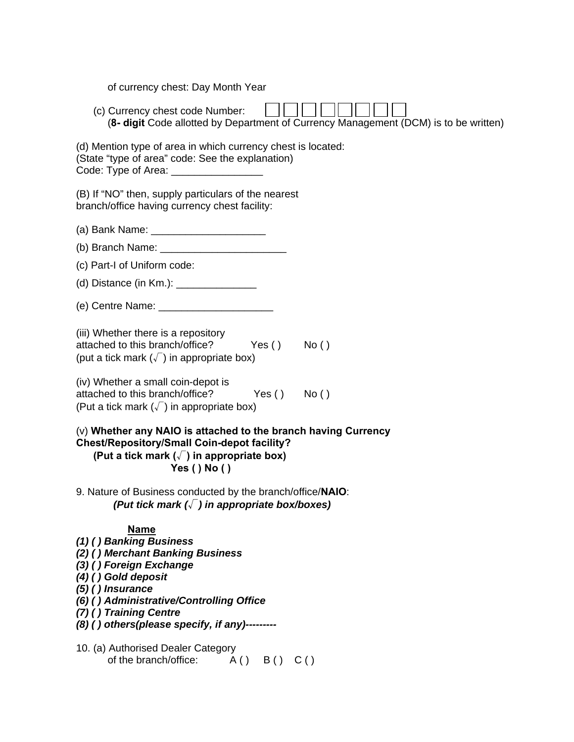of currency chest: Day Month Year

 (c) Currency chest code Number: (**8- digit** Code allotted by Department of Currency Management (DCM) is to be written)

| (d) Mention type of area in which currency chest is located: |
|--------------------------------------------------------------|
| (State "type of area" code: See the explanation)             |
| Code: Type of Area:                                          |

(B) If "NO" then, supply particulars of the nearest branch/office having currency chest facility:

- (a) Bank Name: \_\_\_\_\_\_\_\_\_\_\_\_\_\_\_\_\_\_\_\_\_\_\_\_\_
- (b) Branch Name:
- (c) Part-I of Uniform code:
- (d) Distance (in Km.): \_\_\_\_\_\_\_\_\_\_\_\_\_\_\_\_\_\_
- (e) Centre Name:
- (iii) Whether there is a repository attached to this branch/office? Yes () No () (put a tick mark  $(\sqrt{\ } )$  in appropriate box)
- (iv) Whether a small coin-depot is attached to this branch/office? Yes () No () (Put a tick mark  $(\sqrt{\ } )$  in appropriate box)

# (v) **Whether any NAIO is attached to the branch having Currency Chest/Repository/Small Coin-depot facility? (Put a tick mark (**√**) in appropriate box) Yes ( ) No ( )**

9. Nature of Business conducted by the branch/office/**NAIO**:  *(Put tick mark (*√*) in appropriate box/boxes)* 

## **Name**

- *(1) ( ) Banking Business*
- *(2) ( ) Merchant Banking Business*
- *(3) ( ) Foreign Exchange*
- *(4) ( ) Gold deposit*
- *(5) ( ) Insurance*
- *(6) ( ) Administrative/Controlling Office*
- *(7) ( ) Training Centre*
- *(8) ( ) others(please specify, if any)---------*
- 10. (a) Authorised Dealer Category of the branch/office:  $A() \quad B() \quad C()$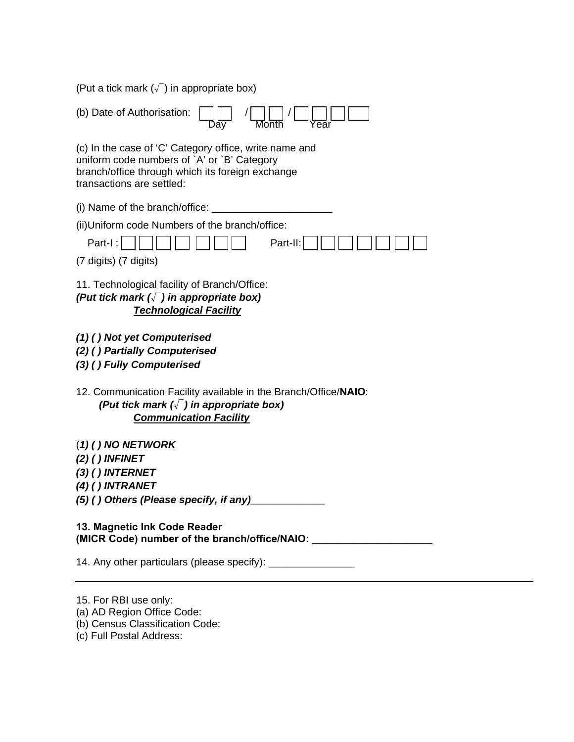(Put a tick mark  $(\sqrt{\ } )$  in appropriate box)

| (b) Date of Authorisation:                                                                                                                                                             |
|----------------------------------------------------------------------------------------------------------------------------------------------------------------------------------------|
| (c) In the case of 'C' Category office, write name and<br>uniform code numbers of `A' or `B' Category<br>branch/office through which its foreign exchange<br>transactions are settled: |
| (i) Name of the branch/office:                                                                                                                                                         |
| (ii) Uniform code Numbers of the branch/office:                                                                                                                                        |
| Part-II:<br>Part-I:                                                                                                                                                                    |
| (7 digits) (7 digits)                                                                                                                                                                  |
| 11. Technological facility of Branch/Office:<br>(Put tick mark $(\sqrt{\ } )$ in appropriate box)<br><b>Technological Facility</b>                                                     |
| (1) () Not yet Computerised                                                                                                                                                            |
| (2) () Partially Computerised                                                                                                                                                          |
| (3) () Fully Computerised                                                                                                                                                              |
|                                                                                                                                                                                        |
| 12. Communication Facility available in the Branch/Office/NAIO:<br>(Put tick mark $(\sqrt{\ })$ in appropriate box)<br><b>Communication Facility</b>                                   |
| $(1)$ ( ) NO NETWORK                                                                                                                                                                   |
| $(2)$ () INFINET                                                                                                                                                                       |
| $(3)$ () INTERNET<br>$(4)$ () INTRANET                                                                                                                                                 |
| (5) () Others (Please specify, if any)                                                                                                                                                 |
| 13. Magnetic Ink Code Reader<br>(MICR Code) number of the branch/office/NAIO:                                                                                                          |

- 15. For RBI use only:
- (a) AD Region Office Code:
- (b) Census Classification Code:
- (c) Full Postal Address: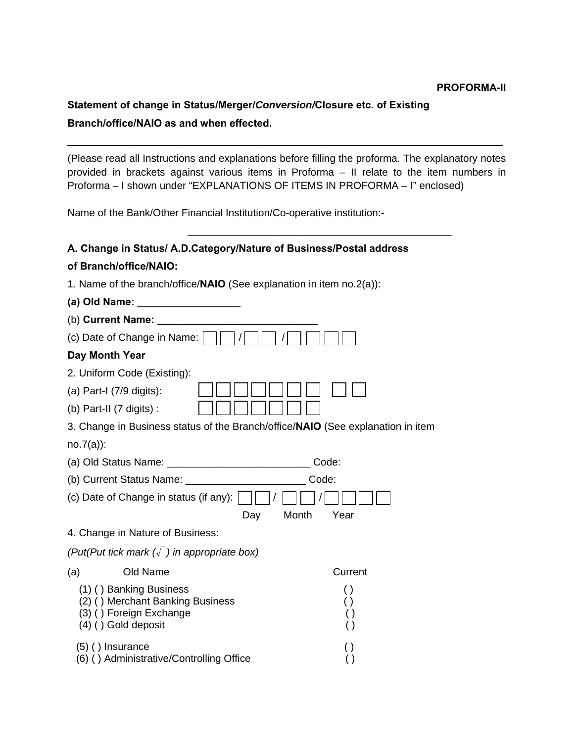## **PROFORMA-II**

# **Statement of change in Status/Merger/***Conversion/***Closure etc. of Existing Branch/office/NAIO as and when effected.**

(Please read all Instructions and explanations before filling the proforma. The explanatory notes provided in brackets against various items in Proforma – II relate to the item numbers in Proforma – I shown under "EXPLANATIONS OF ITEMS IN PROFORMA – I" enclosed)

**\_\_\_\_\_\_\_\_\_\_\_\_\_\_\_\_\_\_\_\_\_\_\_\_\_\_\_\_\_\_\_\_\_\_\_\_\_\_\_\_\_\_\_\_\_\_\_\_\_\_\_\_\_\_\_\_\_\_\_\_\_\_\_\_\_\_\_\_\_\_\_\_\_\_\_\_** 

Name of the Bank/Other Financial Institution/Co-operative institution:-

# **A. Change in Status/ A.D.Category/Nature of Business/Postal address**

 $\overline{\phantom{a}}$  ,  $\overline{\phantom{a}}$  ,  $\overline{\phantom{a}}$  ,  $\overline{\phantom{a}}$  ,  $\overline{\phantom{a}}$  ,  $\overline{\phantom{a}}$  ,  $\overline{\phantom{a}}$  ,  $\overline{\phantom{a}}$  ,  $\overline{\phantom{a}}$  ,  $\overline{\phantom{a}}$  ,  $\overline{\phantom{a}}$  ,  $\overline{\phantom{a}}$  ,  $\overline{\phantom{a}}$  ,  $\overline{\phantom{a}}$  ,  $\overline{\phantom{a}}$  ,  $\overline{\phantom{a}}$ 

# **of Branch/office/NAIO:**

| 1. Name of the branch/office/ $NAIO$ (See explanation in item no.2(a)): |  |
|-------------------------------------------------------------------------|--|
|-------------------------------------------------------------------------|--|

| (a) Old Name: ___________________                                                                       |
|---------------------------------------------------------------------------------------------------------|
| (b) Current Name:                                                                                       |
| (c) Date of Change in Name:                                                                             |
| Day Month Year                                                                                          |
| 2. Uniform Code (Existing):                                                                             |
| (a) Part-I (7/9 digits):                                                                                |
| (b) Part-II (7 digits) :                                                                                |
| 3. Change in Business status of the Branch/office/NAIO (See explanation in item                         |
| $no.7(a)$ :                                                                                             |
| Code:                                                                                                   |
| Code:                                                                                                   |
| (c) Date of Change in status (if any):                                                                  |
| Month<br>Year<br>Day                                                                                    |
| 4. Change in Nature of Business:                                                                        |
| (Put(Put tick mark $(\sqrt{\ } )$ in appropriate box)                                                   |
| Old Name<br>Current<br>(a)                                                                              |
| (1) () Banking Business<br>$\left( \ \right)$<br>(2) () Merchant Banking Business<br>$\left( \ \right)$ |
| (3) () Foreign Exchange<br>$\left( \ \right)$<br>$(4)$ () Gold deposit<br>$\left( \ \right)$            |
| $(5)$ () Insurance<br>$\left( \ \right)$<br>(6) () Administrative/Controlling Office                    |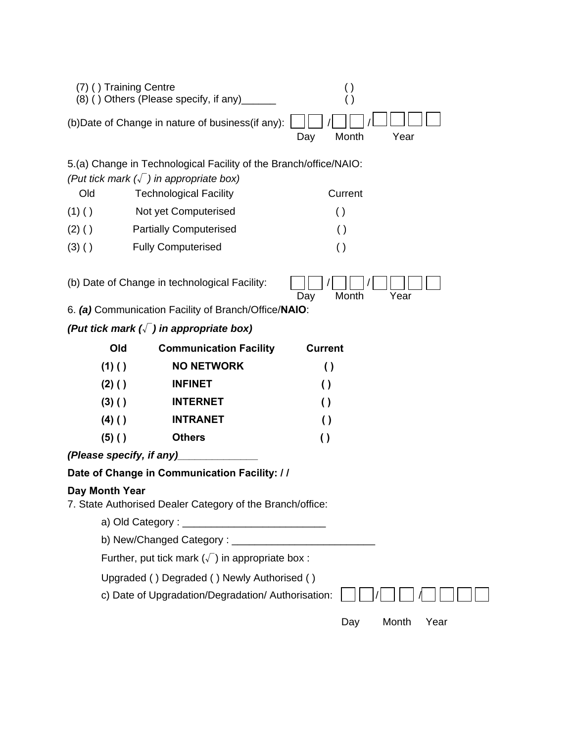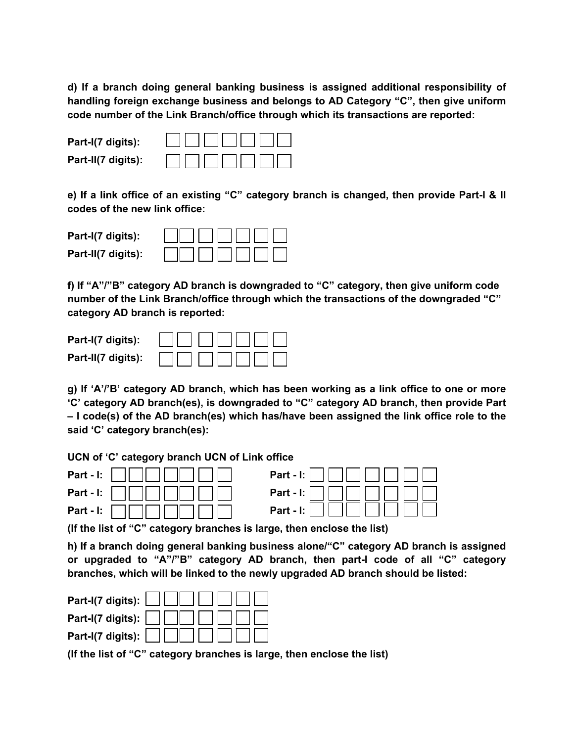**d) If a branch doing general banking business is assigned additional responsibility of handling foreign exchange business and belongs to AD Category "C", then give uniform code number of the Link Branch/office through which its transactions are reported:** 

**Part-I(7 digits): Part-II(7 digits):** 

**e) If a link office of an existing "C" category branch is changed, then provide Part-I & II codes of the new link office:** 

**Part-I(7 digits): Part-II(7 digits):** 

**f) If "A"/"B" category AD branch is downgraded to "C" category, then give uniform code number of the Link Branch/office through which the transactions of the downgraded "C" category AD branch is reported:** 

**Part-I(7 digits): Part-II(7 digits):** 

**g) If 'A'/'B' category AD branch, which has been working as a link office to one or more 'C' category AD branch(es), is downgraded to "C" category AD branch, then provide Part – I code(s) of the AD branch(es) which has/have been assigned the link office role to the said 'C' category branch(es):** 

**UCN of 'C' category branch UCN of Link office** 



**(If the list of "C" category branches is large, then enclose the list)** 

**h) If a branch doing general banking business alone/"C" category AD branch is assigned or upgraded to "A"/"B" category AD branch, then part-I code of all "C" category branches, which will be linked to the newly upgraded AD branch should be listed:** 

| Part-I(7 digits): $\Box$                                                                                                                                                                                                                                                        |
|---------------------------------------------------------------------------------------------------------------------------------------------------------------------------------------------------------------------------------------------------------------------------------|
| Part-I(7 digits): $\Box$ $\Box$ $\Box$ $\Box$ $\Box$                                                                                                                                                                                                                            |
| Part-I(7 digits): $\begin{bmatrix} \begin{bmatrix} \end{bmatrix} & \begin{bmatrix} \end{bmatrix} & \begin{bmatrix} \end{bmatrix} & \begin{bmatrix} \end{bmatrix} & \begin{bmatrix} \end{bmatrix} & \begin{bmatrix} \end{bmatrix} & \begin{bmatrix} \end{bmatrix} \end{bmatrix}$ |
|                                                                                                                                                                                                                                                                                 |

**(If the list of "C" category branches is large, then enclose the list)**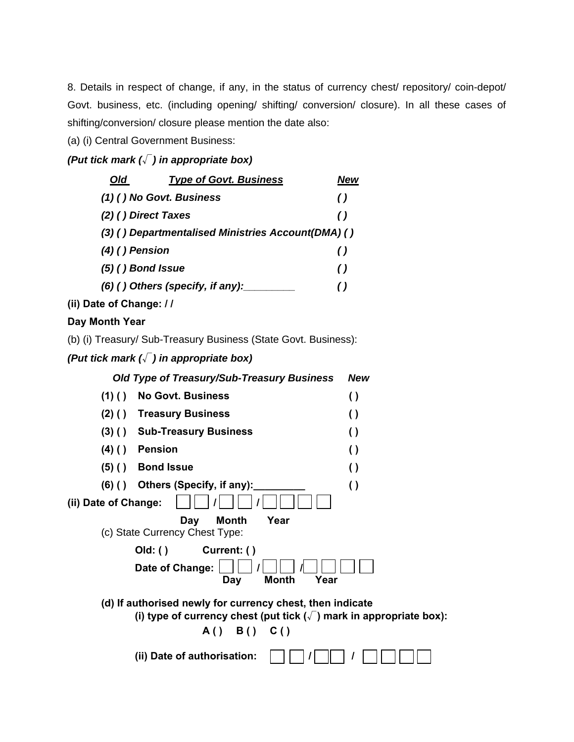8. Details in respect of change, if any, in the status of currency chest/ repository/ coin-depot/ Govt. business, etc. (including opening/ shifting/ conversion/ closure). In all these cases of shifting/conversion/ closure please mention the date also:

(a) (i) Central Government Business:

# *(Put tick mark (*√*) in appropriate box)*

| Old                 | <b>Type of Govt. Business</b>                      | New              |
|---------------------|----------------------------------------------------|------------------|
|                     | (1) () No Govt. Business                           | $\theta$         |
|                     | (2) () Direct Taxes                                | $\left( \right)$ |
|                     | (3) () Departmentalised Ministries Account(DMA) () |                  |
| $(4)$ () Pension    |                                                    | ( )              |
| $(5)$ () Bond Issue |                                                    | $\left( \right)$ |
|                     | $(6)$ () Others (specify, if any):                 | ( )              |
|                     |                                                    |                  |

**(ii) Date of Change: / /** 

**Day Month Year** 

(b) (i) Treasury/ Sub-Treasury Business (State Govt. Business):

# *(Put tick mark (*√*) in appropriate box)*

|                      | Old Type of Treasury/Sub-Treasury Business                                                                                                 | <b>New</b>       |
|----------------------|--------------------------------------------------------------------------------------------------------------------------------------------|------------------|
| (1)()                | No Govt. Business                                                                                                                          | $\left( \right)$ |
| $(2)$ ( )            | <b>Treasury Business</b>                                                                                                                   | $\left( \right)$ |
| $(3)$ ( )            | <b>Sub-Treasury Business</b>                                                                                                               | $\left( \right)$ |
| $(4)$ ( )            | <b>Pension</b>                                                                                                                             | $\left( \right)$ |
| $(5)$ ( )            | <b>Bond Issue</b>                                                                                                                          | $\left( \right)$ |
| (6)()                | Others (Specify, if any):                                                                                                                  | $\left( \right)$ |
| (ii) Date of Change: |                                                                                                                                            |                  |
|                      | <b>Month</b><br>Year<br>Day<br>(c) State Currency Chest Type:                                                                              |                  |
|                      | Current: ()<br>Old: ()                                                                                                                     |                  |
|                      | Date of Change:<br><b>Month</b><br>Year<br>Day                                                                                             |                  |
|                      | (d) If authorised newly for currency chest, then indicate<br>(i) type of currency chest (put tick $(\sqrt{\ } )$ mark in appropriate box): |                  |
|                      | B() C()<br>A()                                                                                                                             |                  |
|                      | (ii) Date of authorisation:                                                                                                                |                  |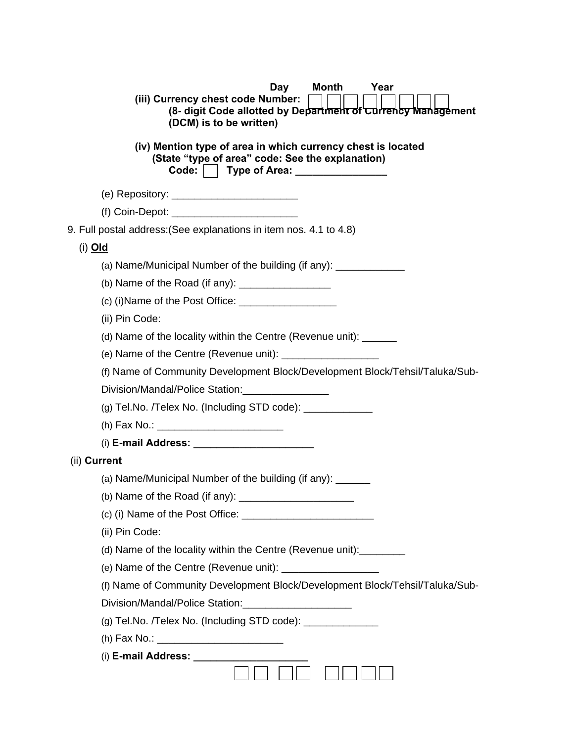| Day<br>Month<br>Year<br>(iii) Currency chest code Number:<br>(8- digit Code allotted by Department of Currency Management<br>(DCM) is to be written)                                                                                                                                                   |
|--------------------------------------------------------------------------------------------------------------------------------------------------------------------------------------------------------------------------------------------------------------------------------------------------------|
| (iv) Mention type of area in which currency chest is located<br>(State "type of area" code: See the explanation)<br>Code:     Type of Area: ________________                                                                                                                                           |
|                                                                                                                                                                                                                                                                                                        |
|                                                                                                                                                                                                                                                                                                        |
| 9. Full postal address: (See explanations in item nos. 4.1 to 4.8)                                                                                                                                                                                                                                     |
| (i) <u>Old</u>                                                                                                                                                                                                                                                                                         |
| (a) Name/Municipal Number of the building (if any): _______________                                                                                                                                                                                                                                    |
| (b) Name of the Road (if any): $\frac{1}{2}$                                                                                                                                                                                                                                                           |
| (c) (i) Name of the Post Office: $\frac{1}{2}$                                                                                                                                                                                                                                                         |
| (ii) Pin Code:                                                                                                                                                                                                                                                                                         |
| (d) Name of the locality within the Centre (Revenue unit): ______                                                                                                                                                                                                                                      |
| (e) Name of the Centre (Revenue unit): $\frac{1}{1}$ $\frac{1}{1}$ $\frac{1}{1}$ $\frac{1}{1}$ $\frac{1}{1}$ $\frac{1}{1}$ $\frac{1}{1}$ $\frac{1}{1}$ $\frac{1}{1}$ $\frac{1}{1}$ $\frac{1}{1}$ $\frac{1}{1}$ $\frac{1}{1}$ $\frac{1}{1}$ $\frac{1}{1}$ $\frac{1}{1}$ $\frac{1}{1}$ $\frac{1}{1}$ $\$ |
| (f) Name of Community Development Block/Development Block/Tehsil/Taluka/Sub-                                                                                                                                                                                                                           |
| Division/Mandal/Police Station:                                                                                                                                                                                                                                                                        |
| (g) Tel.No. /Telex No. (Including STD code): _____________                                                                                                                                                                                                                                             |
|                                                                                                                                                                                                                                                                                                        |
|                                                                                                                                                                                                                                                                                                        |
| (ii) Current                                                                                                                                                                                                                                                                                           |
| (a) Name/Municipal Number of the building (if any):                                                                                                                                                                                                                                                    |
| (b) Name of the Road (if any):                                                                                                                                                                                                                                                                         |
|                                                                                                                                                                                                                                                                                                        |
| (ii) Pin Code:                                                                                                                                                                                                                                                                                         |
| (d) Name of the locality within the Centre (Revenue unit):                                                                                                                                                                                                                                             |
|                                                                                                                                                                                                                                                                                                        |
| (f) Name of Community Development Block/Development Block/Tehsil/Taluka/Sub-                                                                                                                                                                                                                           |
| Division/Mandal/Police Station:________________________                                                                                                                                                                                                                                                |
| (g) Tel.No. /Telex No. (Including STD code): ______________                                                                                                                                                                                                                                            |
|                                                                                                                                                                                                                                                                                                        |
|                                                                                                                                                                                                                                                                                                        |
|                                                                                                                                                                                                                                                                                                        |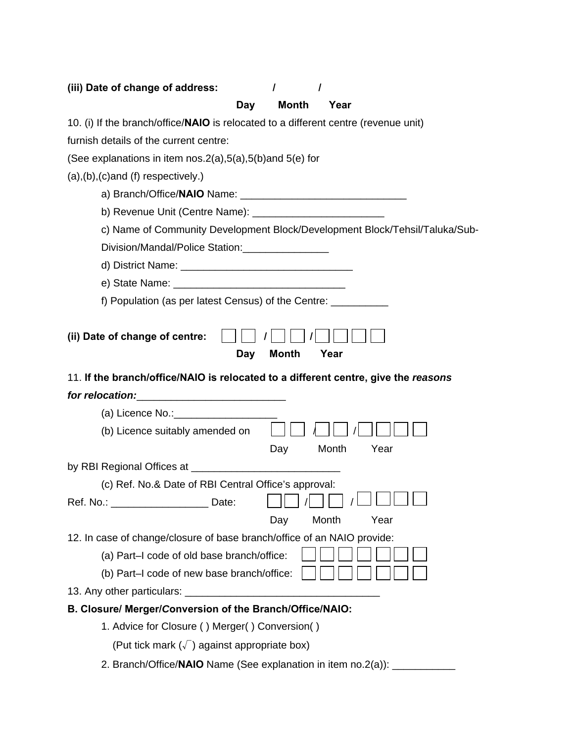| (iii) Date of change of address:<br>$\prime$<br>$\prime$                                                              |
|-----------------------------------------------------------------------------------------------------------------------|
| <b>Month</b><br>Year<br>Day                                                                                           |
| 10. (i) If the branch/office/NAIO is relocated to a different centre (revenue unit)                                   |
| furnish details of the current centre:                                                                                |
| (See explanations in item nos. $2(a)$ , $5(a)$ , $5(b)$ and $5(e)$ for                                                |
| $(a), (b), (c)$ and $(f)$ respectively.)                                                                              |
|                                                                                                                       |
|                                                                                                                       |
| c) Name of Community Development Block/Development Block/Tehsil/Taluka/Sub-                                           |
| Division/Mandal/Police Station:                                                                                       |
|                                                                                                                       |
|                                                                                                                       |
| f) Population (as per latest Census) of the Centre: __________                                                        |
| <b>Month</b><br>Year<br>Day<br>11. If the branch/office/NAIO is relocated to a different centre, give the reasons     |
| for relocation:                                                                                                       |
| (a) Licence No.: 2000                                                                                                 |
| (b) Licence suitably amended on                                                                                       |
| Month<br>Year<br>Day                                                                                                  |
|                                                                                                                       |
| (c) Ref. No.& Date of RBI Central Office's approval:                                                                  |
| Ref. No.: _______________________ Date:<br>Year                                                                       |
| Month<br>Day                                                                                                          |
| 12. In case of change/closure of base branch/office of an NAIO provide:<br>(a) Part-I code of old base branch/office: |
| (b) Part-I code of new base branch/office:                                                                            |
|                                                                                                                       |
| B. Closure/ Merger/Conversion of the Branch/Office/NAIO:                                                              |
| 1. Advice for Closure () Merger() Conversion()                                                                        |
| (Put tick mark $(\sqrt{})$ ) against appropriate box)                                                                 |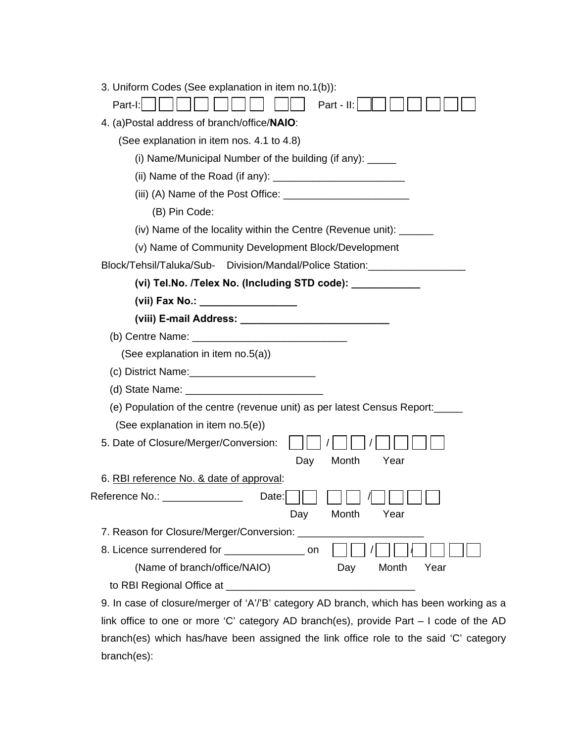|                | 3. Uniform Codes (See explanation in item no.1(b)):                                     |
|----------------|-----------------------------------------------------------------------------------------|
| Part-I:        | Part - II:                                                                              |
|                | 4. (a)Postal address of branch/office/NAIO:                                             |
|                | (See explanation in item nos. 4.1 to 4.8)                                               |
|                | (i) Name/Municipal Number of the building (if any): ______                              |
|                |                                                                                         |
|                |                                                                                         |
|                | (B) Pin Code:                                                                           |
|                | (iv) Name of the locality within the Centre (Revenue unit): _______                     |
|                | (v) Name of Community Development Block/Development                                     |
|                | Block/Tehsil/Taluka/Sub- Division/Mandal/Police Station:__________________              |
|                | (vi) Tel.No. /Telex No. (Including STD code): ____________                              |
|                | (vii) Fax No.: __________________                                                       |
|                |                                                                                         |
|                |                                                                                         |
|                | (See explanation in item no.5(a))                                                       |
|                |                                                                                         |
|                |                                                                                         |
|                | (e) Population of the centre (revenue unit) as per latest Census Report:                |
|                | (See explanation in item no.5(e))                                                       |
|                | 5. Date of Closure/Merger/Conversion:                                                   |
|                | Month<br>Day<br>Year                                                                    |
|                | 6. RBI reference No. & date of approval:                                                |
| Reference No.: | Data:                                                                                   |
|                | Month<br>Day<br>Year                                                                    |
|                | 7. Reason for Closure/Merger/Conversion: ____                                           |
|                | 8. Licence surrendered for ______________________ on                                    |
|                | (Name of branch/office/NAIO)<br>Day<br>Month<br>Year                                    |
|                |                                                                                         |
|                | 9. In case of closure/merger of 'A'/'B' category AD branch, which has been working as a |
|                | ang ar mars 'C' estageny AD branch(as), provide Dart Leads of the AD                    |

link office to one or more 'C' category AD branch(es), provide Part – I code of the AD branch(es) which has/have been assigned the link office role to the said 'C' category branch(es):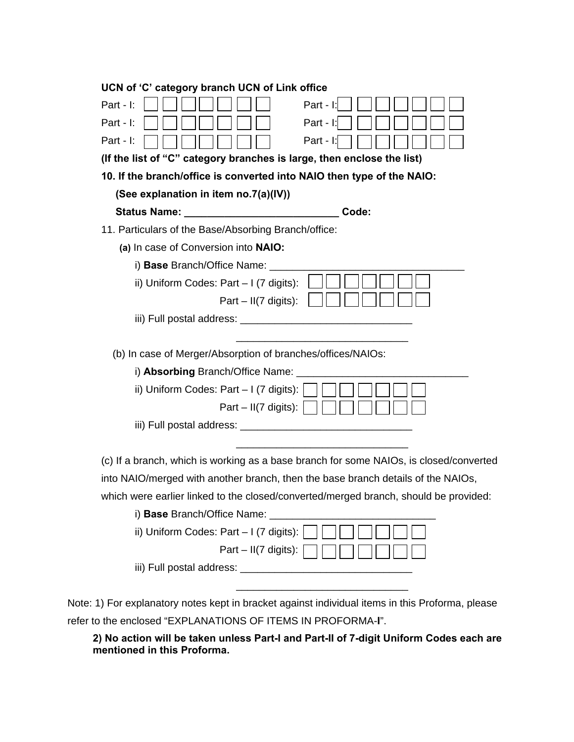| UCN of 'C' category branch UCN of Link office                                          |
|----------------------------------------------------------------------------------------|
| Part - I<br>Part - I:                                                                  |
| Part - I:<br>Part - I:                                                                 |
| Part - I:<br>Part - I:                                                                 |
| (If the list of "C" category branches is large, then enclose the list)                 |
| 10. If the branch/office is converted into NAIO then type of the NAIO:                 |
| (See explanation in item no.7(a)(IV))                                                  |
| Code:                                                                                  |
| 11. Particulars of the Base/Absorbing Branch/office:                                   |
| (a) In case of Conversion into NAIO:                                                   |
| i) Base Branch/Office Name: ____                                                       |
| ii) Uniform Codes: Part - I (7 digits):                                                |
| Part $-$ II(7 digits):                                                                 |
| iii) Full postal address: ______________                                               |
|                                                                                        |
| (b) In case of Merger/Absorption of branches/offices/NAIOs:                            |
| i) Absorbing Branch/Office Name: ___                                                   |
| ii) Uniform Codes: Part $-1$ (7 digits):                                               |
| Part – II(7 digits):                                                                   |
|                                                                                        |
|                                                                                        |
| (c) If a branch, which is working as a base branch for some NAIOs, is closed/converted |
| into NAIO/merged with another branch, then the base branch details of the NAIOs,       |
| which were earlier linked to the closed/converted/merged branch, should be provided:   |
| i) Base Branch/Office Name: _______                                                    |
| ii) Uniform Codes: Part - I (7 digits):                                                |
| Part $-$ II(7 digits):                                                                 |
|                                                                                        |
|                                                                                        |

Note: 1) For explanatory notes kept in bracket against individual items in this Proforma, please refer to the enclosed "EXPLANATIONS OF ITEMS IN PROFORMA-**I**".

**2) No action will be taken unless Part-I and Part-II of 7-digit Uniform Codes each are mentioned in this Proforma.**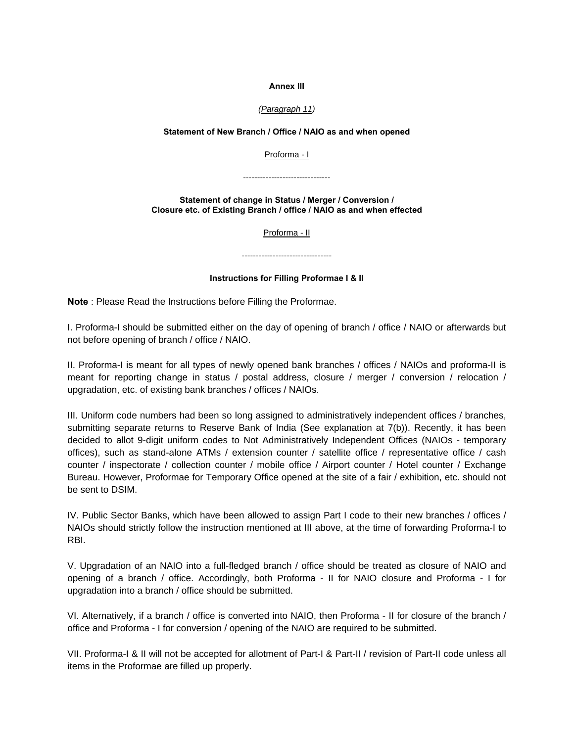#### **Annex III**

#### *([Paragraph 11](http://cob-rpcd10-d095/kmt/GetDocument.asp?PageRef=regulator/rbi/rpcd/rbi502-07-2012_02-11-2012.htm#11))*

### **Statement of New Branch / Office / NAIO as and when opened**

[Proforma - I](http://cob-rpcd10-d095/kmt/regulator/rbi/rpcd/rbi502-07-2012_prf1.xls)

-------------------------------

**Statement of change in Status / Merger / Conversion / Closure etc. of Existing Branch / office / NAIO as and when effected**

[Proforma - II](http://cob-rpcd10-d095/kmt/regulator/rbi/rpcd/rbi502-07-2012_prf2.xls)

--------------------------------

#### **Instructions for Filling Proformae I & II**

**Note** : Please Read the Instructions before Filling the Proformae.

I. Proforma-I should be submitted either on the day of opening of branch / office / NAIO or afterwards but not before opening of branch / office / NAIO.

II. Proforma-I is meant for all types of newly opened bank branches / offices / NAIOs and proforma-II is meant for reporting change in status / postal address, closure / merger / conversion / relocation / upgradation, etc. of existing bank branches / offices / NAIOs.

III. Uniform code numbers had been so long assigned to administratively independent offices / branches, submitting separate returns to Reserve Bank of India (See explanation at 7(b)). Recently, it has been decided to allot 9-digit uniform codes to Not Administratively Independent Offices (NAIOs - temporary offices), such as stand-alone ATMs / extension counter / satellite office / representative office / cash counter / inspectorate / collection counter / mobile office / Airport counter / Hotel counter / Exchange Bureau. However, Proformae for Temporary Office opened at the site of a fair / exhibition, etc. should not be sent to DSIM.

IV. Public Sector Banks, which have been allowed to assign Part I code to their new branches / offices / NAIOs should strictly follow the instruction mentioned at III above, at the time of forwarding Proforma-I to RBI.

V. Upgradation of an NAIO into a full-fledged branch / office should be treated as closure of NAIO and opening of a branch / office. Accordingly, both Proforma - II for NAIO closure and Proforma - I for upgradation into a branch / office should be submitted.

VI. Alternatively, if a branch / office is converted into NAIO, then Proforma - II for closure of the branch / office and Proforma - I for conversion / opening of the NAIO are required to be submitted.

VII. Proforma-I & II will not be accepted for allotment of Part-I & Part-II / revision of Part-II code unless all items in the Proformae are filled up properly.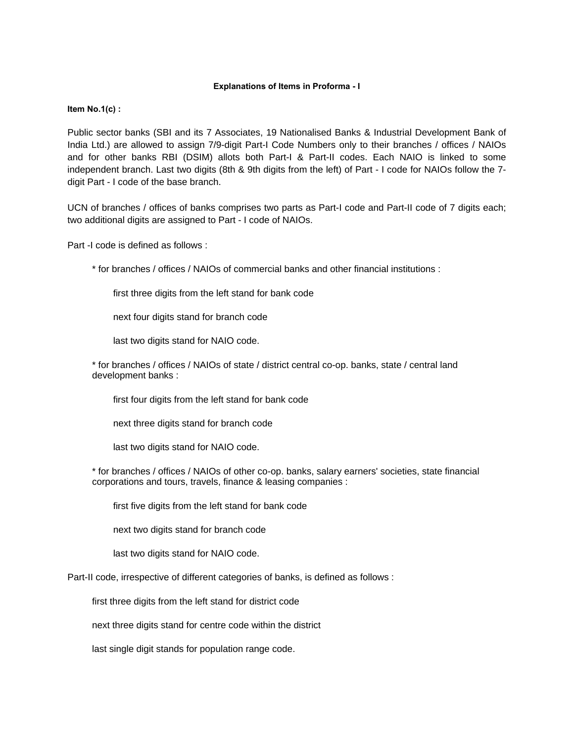#### **Explanations of Items in Proforma - I**

#### **Item No.1(c) :**

Public sector banks (SBI and its 7 Associates, 19 Nationalised Banks & Industrial Development Bank of India Ltd.) are allowed to assign 7/9-digit Part-I Code Numbers only to their branches / offices / NAIOs and for other banks RBI (DSIM) allots both Part-I & Part-II codes. Each NAIO is linked to some independent branch. Last two digits (8th & 9th digits from the left) of Part - I code for NAIOs follow the 7 digit Part - I code of the base branch.

UCN of branches / offices of banks comprises two parts as Part-I code and Part-II code of 7 digits each; two additional digits are assigned to Part - I code of NAIOs.

Part -I code is defined as follows :

\* for branches / offices / NAIOs of commercial banks and other financial institutions :

first three digits from the left stand for bank code

next four digits stand for branch code

last two digits stand for NAIO code.

\* for branches / offices / NAIOs of state / district central co-op. banks, state / central land development banks :

first four digits from the left stand for bank code

next three digits stand for branch code

last two digits stand for NAIO code.

\* for branches / offices / NAIOs of other co-op. banks, salary earners' societies, state financial corporations and tours, travels, finance & leasing companies :

first five digits from the left stand for bank code

next two digits stand for branch code

last two digits stand for NAIO code.

Part-II code, irrespective of different categories of banks, is defined as follows :

first three digits from the left stand for district code

next three digits stand for centre code within the district

last single digit stands for population range code.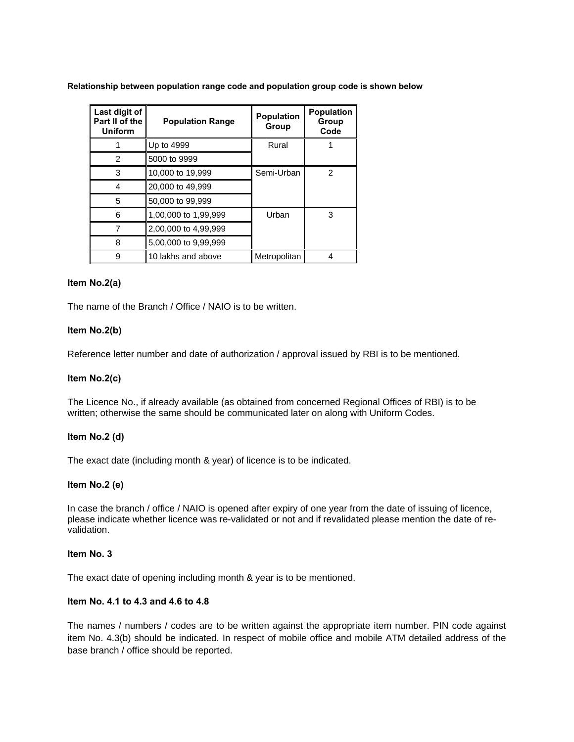**Relationship between population range code and population group code is shown below**

| Last digit of<br>Part II of the<br><b>Uniform</b> | <b>Population Range</b> | Population<br>Group | <b>Population</b><br>Group<br>Code |
|---------------------------------------------------|-------------------------|---------------------|------------------------------------|
|                                                   | Up to 4999              |                     |                                    |
| 2                                                 | 5000 to 9999            |                     |                                    |
| 3                                                 | 10,000 to 19,999        | Semi-Urban          | 2                                  |
| 4                                                 | 20,000 to 49,999        |                     |                                    |
| 5                                                 | 50,000 to 99,999        |                     |                                    |
| 6                                                 | 1,00,000 to 1,99,999    | Urban               | 3                                  |
|                                                   | 2,00,000 to 4,99,999    |                     |                                    |
| 8                                                 | 5,00,000 to 9,99,999    |                     |                                    |
| 9                                                 | 10 lakhs and above      | Metropolitan        |                                    |

## **Item No.2(a)**

The name of the Branch / Office / NAIO is to be written.

## **Item No.2(b)**

Reference letter number and date of authorization / approval issued by RBI is to be mentioned.

### **Item No.2(c)**

The Licence No., if already available (as obtained from concerned Regional Offices of RBI) is to be written; otherwise the same should be communicated later on along with Uniform Codes.

### **Item No.2 (d)**

The exact date (including month & year) of licence is to be indicated.

### **Item No.2 (e)**

In case the branch / office / NAIO is opened after expiry of one year from the date of issuing of licence, please indicate whether licence was re-validated or not and if revalidated please mention the date of revalidation.

### **Item No. 3**

The exact date of opening including month & year is to be mentioned.

### **Item No. 4.1 to 4.3 and 4.6 to 4.8**

The names / numbers / codes are to be written against the appropriate item number. PIN code against item No. 4.3(b) should be indicated. In respect of mobile office and mobile ATM detailed address of the base branch / office should be reported.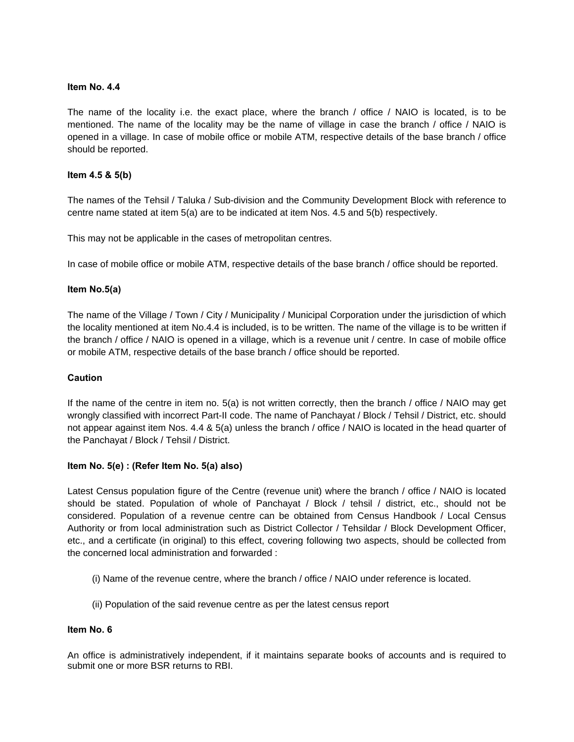### **Item No. 4.4**

The name of the locality i.e. the exact place, where the branch / office / NAIO is located, is to be mentioned. The name of the locality may be the name of village in case the branch / office / NAIO is opened in a village. In case of mobile office or mobile ATM, respective details of the base branch / office should be reported.

## **Item 4.5 & 5(b)**

The names of the Tehsil / Taluka / Sub-division and the Community Development Block with reference to centre name stated at item 5(a) are to be indicated at item Nos. 4.5 and 5(b) respectively.

This may not be applicable in the cases of metropolitan centres.

In case of mobile office or mobile ATM, respective details of the base branch / office should be reported.

## **Item No.5(a)**

The name of the Village / Town / City / Municipality / Municipal Corporation under the jurisdiction of which the locality mentioned at item No.4.4 is included, is to be written. The name of the village is to be written if the branch / office / NAIO is opened in a village, which is a revenue unit / centre. In case of mobile office or mobile ATM, respective details of the base branch / office should be reported.

## **Caution**

If the name of the centre in item no. 5(a) is not written correctly, then the branch / office / NAIO may get wrongly classified with incorrect Part-II code. The name of Panchayat / Block / Tehsil / District, etc. should not appear against item Nos. 4.4 & 5(a) unless the branch / office / NAIO is located in the head quarter of the Panchayat / Block / Tehsil / District.

### **Item No. 5(e) : (Refer Item No. 5(a) also)**

Latest Census population figure of the Centre (revenue unit) where the branch / office / NAIO is located should be stated. Population of whole of Panchayat / Block / tehsil / district, etc., should not be considered. Population of a revenue centre can be obtained from Census Handbook / Local Census Authority or from local administration such as District Collector / Tehsildar / Block Development Officer, etc., and a certificate (in original) to this effect, covering following two aspects, should be collected from the concerned local administration and forwarded :

- (i) Name of the revenue centre, where the branch / office / NAIO under reference is located.
- (ii) Population of the said revenue centre as per the latest census report

## **Item No. 6**

An office is administratively independent, if it maintains separate books of accounts and is required to submit one or more BSR returns to RBI.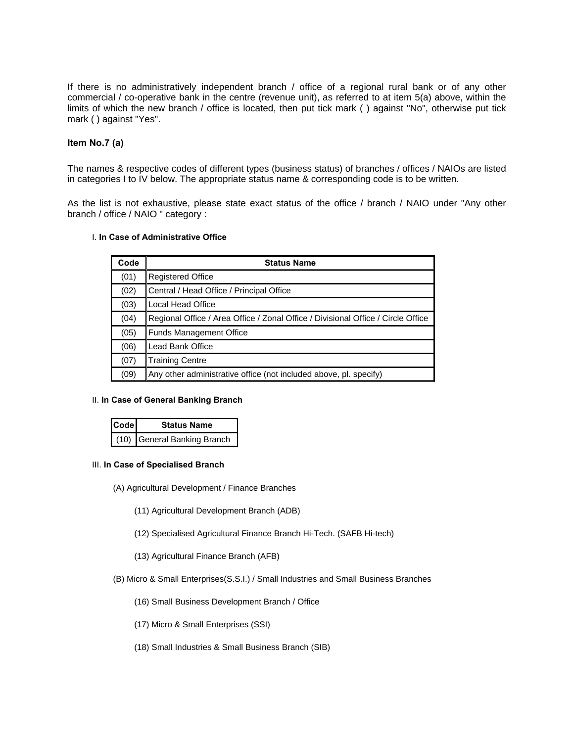If there is no administratively independent branch / office of a regional rural bank or of any other commercial / co-operative bank in the centre (revenue unit), as referred to at item 5(a) above, within the limits of which the new branch / office is located, then put tick mark ( ) against "No", otherwise put tick mark ( ) against "Yes".

### **Item No.7 (a)**

The names & respective codes of different types (business status) of branches / offices / NAIOs are listed in categories I to IV below. The appropriate status name & corresponding code is to be written.

As the list is not exhaustive, please state exact status of the office / branch / NAIO under "Any other branch / office / NAIO " category :

#### I. **In Case of Administrative Office**

| Code | <b>Status Name</b>                                                               |
|------|----------------------------------------------------------------------------------|
| (01) | <b>Registered Office</b>                                                         |
| (02) | Central / Head Office / Principal Office                                         |
| (03) | Local Head Office                                                                |
| (04) | Regional Office / Area Office / Zonal Office / Divisional Office / Circle Office |
| (05) | <b>Funds Management Office</b>                                                   |
| (06) | Lead Bank Office                                                                 |
| (07) | <b>Training Centre</b>                                                           |
| (09) | Any other administrative office (not included above, pl. specify)                |

#### II. **In Case of General Banking Branch**

| <b>Code</b> | <b>Status Name</b>          |  |  |
|-------------|-----------------------------|--|--|
|             | (10) General Banking Branch |  |  |

#### III. **In Case of Specialised Branch**

- (A) Agricultural Development / Finance Branches
	- (11) Agricultural Development Branch (ADB)
	- (12) Specialised Agricultural Finance Branch Hi-Tech. (SAFB Hi-tech)
	- (13) Agricultural Finance Branch (AFB)
- (B) Micro & Small Enterprises(S.S.I.) / Small Industries and Small Business Branches
	- (16) Small Business Development Branch / Office
	- (17) Micro & Small Enterprises (SSI)
	- (18) Small Industries & Small Business Branch (SIB)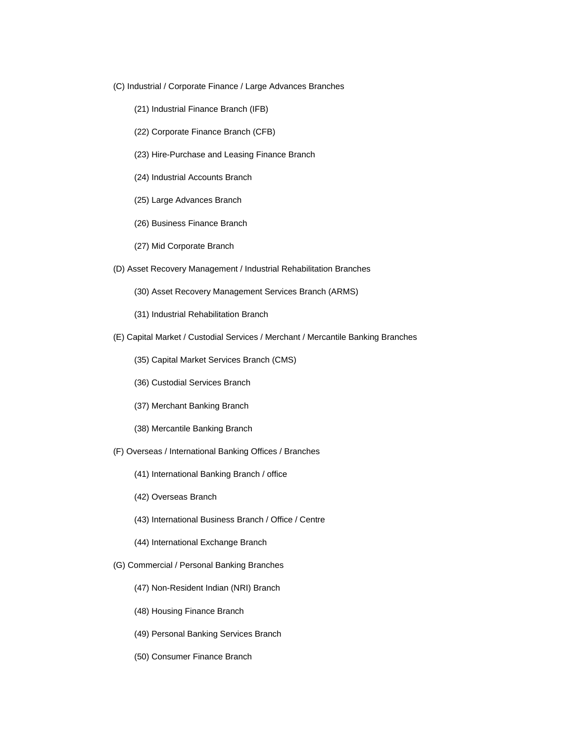- (C) Industrial / Corporate Finance / Large Advances Branches
	- (21) Industrial Finance Branch (IFB)
	- (22) Corporate Finance Branch (CFB)
	- (23) Hire-Purchase and Leasing Finance Branch
	- (24) Industrial Accounts Branch
	- (25) Large Advances Branch
	- (26) Business Finance Branch
	- (27) Mid Corporate Branch
- (D) Asset Recovery Management / Industrial Rehabilitation Branches
	- (30) Asset Recovery Management Services Branch (ARMS)
	- (31) Industrial Rehabilitation Branch
- (E) Capital Market / Custodial Services / Merchant / Mercantile Banking Branches
	- (35) Capital Market Services Branch (CMS)
	- (36) Custodial Services Branch
	- (37) Merchant Banking Branch
	- (38) Mercantile Banking Branch
- (F) Overseas / International Banking Offices / Branches
	- (41) International Banking Branch / office
	- (42) Overseas Branch
	- (43) International Business Branch / Office / Centre
	- (44) International Exchange Branch
- (G) Commercial / Personal Banking Branches
	- (47) Non-Resident Indian (NRI) Branch
	- (48) Housing Finance Branch
	- (49) Personal Banking Services Branch
	- (50) Consumer Finance Branch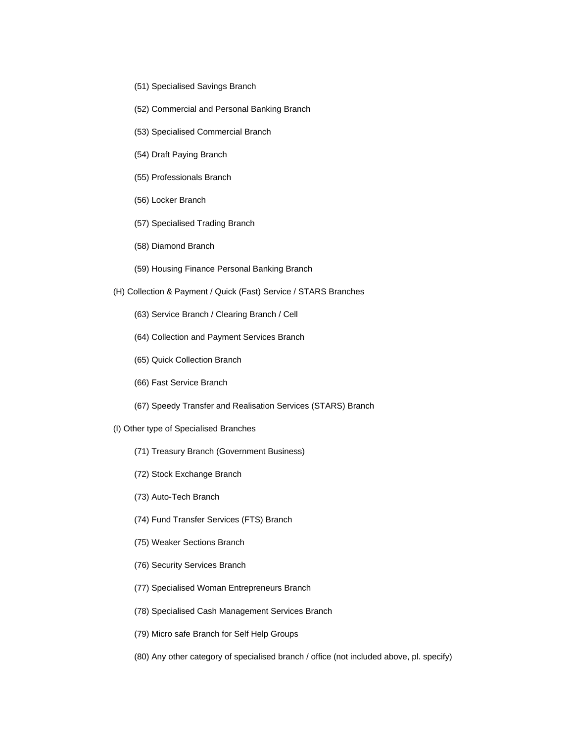- (51) Specialised Savings Branch
- (52) Commercial and Personal Banking Branch
- (53) Specialised Commercial Branch
- (54) Draft Paying Branch
- (55) Professionals Branch
- (56) Locker Branch
- (57) Specialised Trading Branch
- (58) Diamond Branch
- (59) Housing Finance Personal Banking Branch
- (H) Collection & Payment / Quick (Fast) Service / STARS Branches
	- (63) Service Branch / Clearing Branch / Cell
	- (64) Collection and Payment Services Branch
	- (65) Quick Collection Branch
	- (66) Fast Service Branch
	- (67) Speedy Transfer and Realisation Services (STARS) Branch
- (I) Other type of Specialised Branches
	- (71) Treasury Branch (Government Business)
	- (72) Stock Exchange Branch
	- (73) Auto-Tech Branch
	- (74) Fund Transfer Services (FTS) Branch
	- (75) Weaker Sections Branch
	- (76) Security Services Branch
	- (77) Specialised Woman Entrepreneurs Branch
	- (78) Specialised Cash Management Services Branch
	- (79) Micro safe Branch for Self Help Groups
	- (80) Any other category of specialised branch / office (not included above, pl. specify)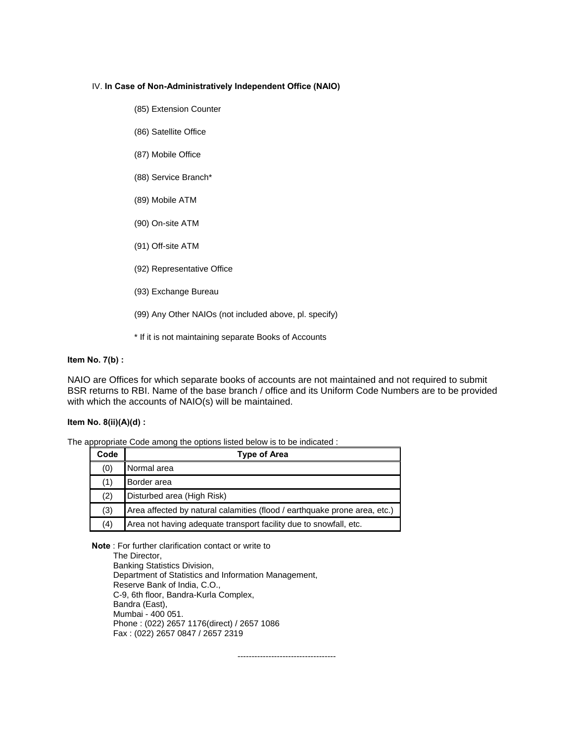#### IV. **In Case of Non-Administratively Independent Office (NAIO)**

- (85) Extension Counter
- (86) Satellite Office
- (87) Mobile Office
- (88) Service Branch\*
- (89) Mobile ATM
- (90) On-site ATM
- (91) Off-site ATM
- (92) Representative Office
- (93) Exchange Bureau
- (99) Any Other NAIOs (not included above, pl. specify)
- \* If it is not maintaining separate Books of Accounts

#### **Item No. 7(b) :**

NAIO are Offices for which separate books of accounts are not maintained and not required to submit BSR returns to RBI. Name of the base branch / office and its Uniform Code Numbers are to be provided with which the accounts of NAIO(s) will be maintained.

### **Item No. 8(ii)(A)(d) :**

The appropriate Code among the options listed below is to be indicated :

| Code | <b>Type of Area</b>                                                       |
|------|---------------------------------------------------------------------------|
| (0)  | Normal area                                                               |
| (1)  | Border area                                                               |
| (2)  | Disturbed area (High Risk)                                                |
| (3)  | Area affected by natural calamities (flood / earthquake prone area, etc.) |
| (4)  | Area not having adequate transport facility due to snowfall, etc.         |

**Note** : For further clarification contact or write to

The Director, Banking Statistics Division, Department of Statistics and Information Management, Reserve Bank of India, C.O., C-9, 6th floor, Bandra-Kurla Complex, Bandra (East), Mumbai - 400 051. Phone : (022) 2657 1176(direct) / 2657 1086 Fax : (022) 2657 0847 / 2657 2319

-----------------------------------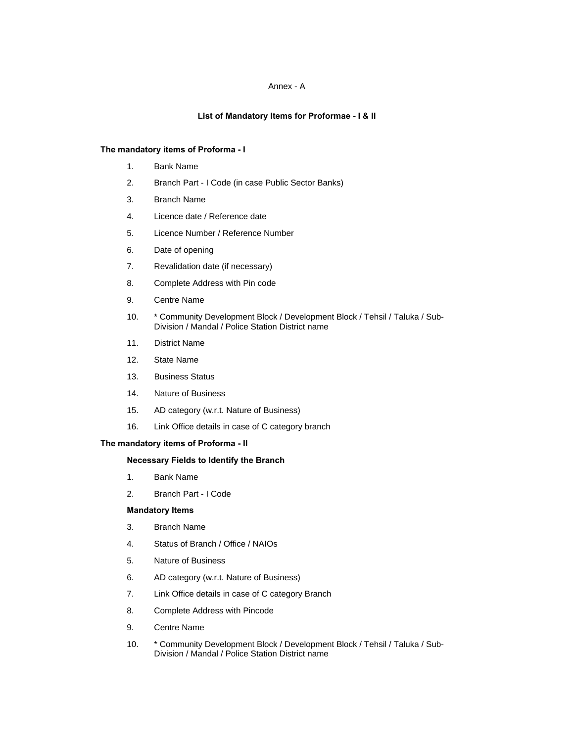#### Annex - A

#### **List of Mandatory Items for Proformae - I & II**

### **The mandatory items of Proforma - I**

- 1. Bank Name
- 2. Branch Part I Code (in case Public Sector Banks)
- 3. Branch Name
- 4. Licence date / Reference date
- 5. Licence Number / Reference Number
- 6. Date of opening
- 7. Revalidation date (if necessary)
- 8. Complete Address with Pin code
- 9. Centre Name
- 10. \* Community Development Block / Development Block / Tehsil / Taluka / Sub-Division / Mandal / Police Station District name
- 11. District Name
- 12. State Name
- 13. Business Status
- 14. Nature of Business
- 15. AD category (w.r.t. Nature of Business)
- 16. Link Office details in case of C category branch

#### **The mandatory items of Proforma - II**

#### **Necessary Fields to Identify the Branch**

- 1. Bank Name
- 2. Branch Part I Code

#### **Mandatory Items**

- 3. Branch Name
- 4. Status of Branch / Office / NAIOs
- 5. Nature of Business
- 6. AD category (w.r.t. Nature of Business)
- 7. Link Office details in case of C category Branch
- 8. Complete Address with Pincode
- 9. Centre Name
- 10. \* Community Development Block / Development Block / Tehsil / Taluka / Sub-Division / Mandal / Police Station District name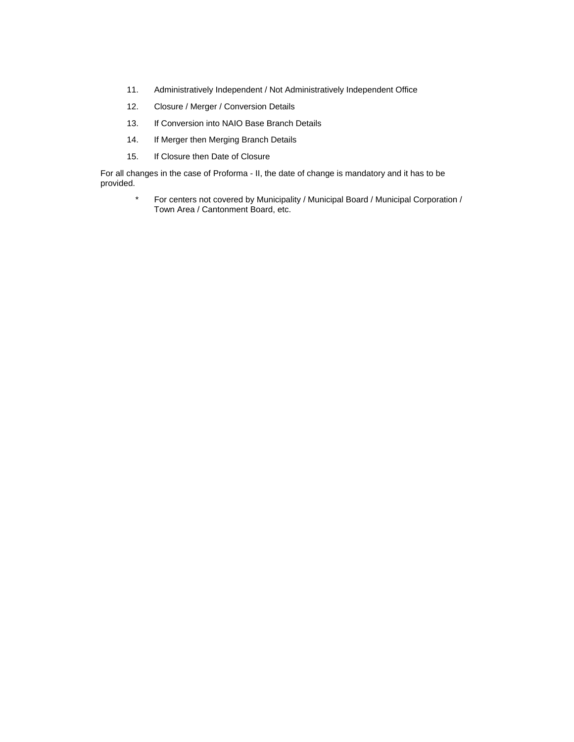- 11. Administratively Independent / Not Administratively Independent Office
- 12. Closure / Merger / Conversion Details
- 13. If Conversion into NAIO Base Branch Details
- 14. If Merger then Merging Branch Details
- 15. If Closure then Date of Closure

For all changes in the case of Proforma - II, the date of change is mandatory and it has to be provided.

> \* For centers not covered by Municipality / Municipal Board / Municipal Corporation / Town Area / Cantonment Board, etc.